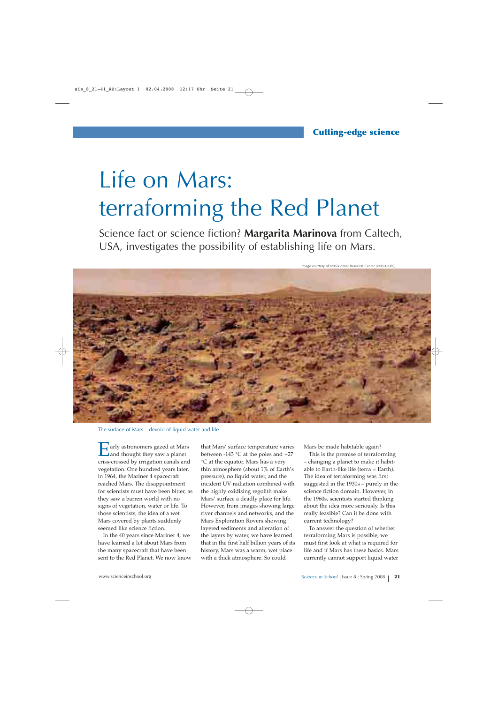## Life on Mars: terraforming the Red Planet

Science fact or science fiction? **Margarita Marinova** from Caltech, USA, investigates the possibility of establishing life on Mars.

*Image courtesy of NASA Ames Research Center (NASA-ARC)*



The surface of Mars – devoid of liquid water and life

arly astronomers gazed at Mars and thought they saw a planet criss-crossed by irrigation canals and vegetation. One hundred years later, in 1964, the Mariner 4 spacecraft reached Mars. The disappointment for scientists must have been bitter, as they saw a barren world with no signs of vegetation, water or life. To those scientists, the idea of a wet Mars covered by plants suddenly seemed like science fiction.

In the 40 years since Mariner 4, we have learned a lot about Mars from the many spacecraft that have been sent to the Red Planet. We now know

that Mars' surface temperature varies between -143 °C at the poles and +27 °C at the equator. Mars has a very thin atmosphere (about 1% of Earth's pressure), no liquid water, and the incident UV radiation combined with the highly oxidising regolith make Mars' surface a deadly place for life. However, from images showing large river channels and networks, and the Mars Exploration Rovers showing layered sediments and alteration of the layers by water, we have learned that in the first half billion years of its history, Mars was a warm, wet place with a thick atmosphere. So could

Mars be made habitable again?

This is the premise of terraforming – changing a planet to make it habitable to Earth-like life (terra  $=$  Earth). The idea of terraforming was first suggested in the 1930s – purely in the science fiction domain. However, in the 1960s, scientists started thinking about the idea more seriously. Is this really feasible? Can it be done with current technology?

To answer the question of whether terraforming Mars is possible, we must first look at what is required for life and if Mars has these basics. Mars currently cannot support liquid water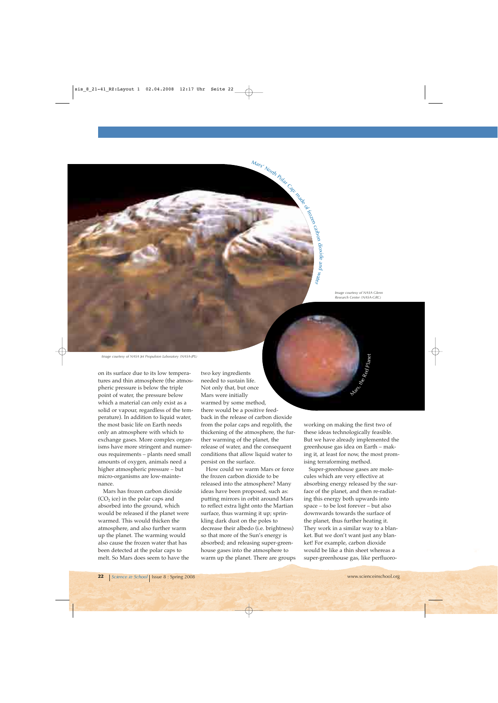*Image courtesy of NASA Glenn Research Center (NASA-GRC)*

*Image courtesy of NASA Jet Propulsion Laboratory (NASA-JPL)*

on its surface due to its low temperatures and thin atmosphere (the atmospheric pressure is below the triple point of water, the pressure below which a material can only exist as a solid or vapour, regardless of the temperature). In addition to liquid water, the most basic life on Earth needs only an atmosphere with which to exchange gases. More complex organisms have more stringent and numerous requirements – plants need small amounts of oxygen, animals need a higher atmospheric pressure – but micro-organisms are low-maintenance.

Mars has frozen carbon dioxide  $(CO<sub>2</sub>$  ice) in the polar caps and absorbed into the ground, which would be released if the planet were warmed. This would thicken the atmosphere, and also further warm up the planet. The warming would also cause the frozen water that has been detected at the polar caps to melt. So Mars does seem to have the two key ingredients needed to sustain life. Not only that, but once Mars were initially warmed by some method, there would be a positive feedback in the release of carbon dioxide from the polar caps and regolith, the thickening of the atmosphere, the further warming of the planet, the release of water, and the consequent conditions that allow liquid water to persist on the surface.

 $M_{\tilde{\boldsymbol{d}}_{\boldsymbol{f_S}}}$ 

North Polar Cap:

made

of frozen

carb

on dioxide and water

How could we warm Mars or force the frozen carbon dioxide to be released into the atmosphere? Many ideas have been proposed, such as: putting mirrors in orbit around Mars to reflect extra light onto the Martian surface, thus warming it up; sprinkling dark dust on the poles to decrease their albedo (i.e. brightness) so that more of the Sun's energy is absorbed; and releasing super-greenhouse gases into the atmosphere to warm up the planet. There are groups working on making the first two of these ideas technologically feasible. But we have already implemented the greenhouse gas idea on Earth – making it, at least for now, the most promising terraforming method.

**Mars**, the

Red

Planet

Super-greenhouse gases are molecules which are very effective at absorbing energy released by the surface of the planet, and then re-radiating this energy both upwards into space – to be lost forever – but also downwards towards the surface of the planet, thus further heating it. They work in a similar way to a blanket. But we don't want just any blanket! For example, carbon dioxide would be like a thin sheet whereas a super-greenhouse gas, like perfluoro-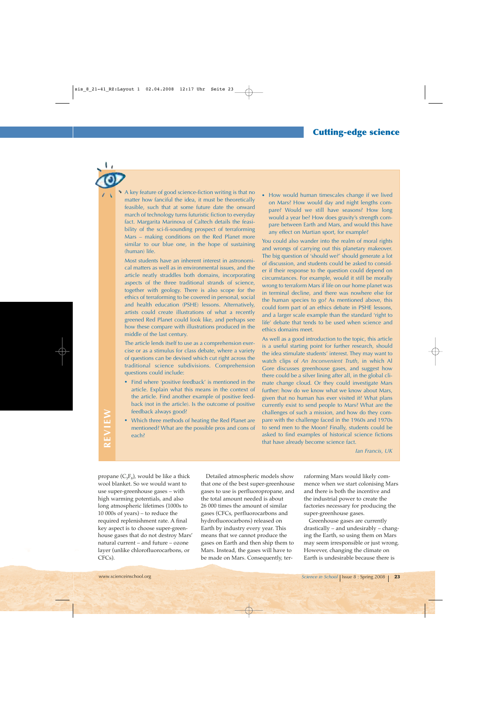A key feature of good science-fiction writing is that no matter how fanciful the idea, it must be theoretically feasible, such that at some future date the onward march of technology turns futuristic fiction to everyday fact. Margarita Marinova of Caltech details the feasibility of the sci-fi-sounding prospect of terraforming Mars – making conditions on the Red Planet more similar to our blue one, in the hope of sustaining (human) life.

Most students have an inherent interest in astronomical matters as well as in environmental issues, and the article neatly straddles both domains, incorporating aspects of the three traditional strands of science, together with geology. There is also scope for the ethics of terraforming to be covered in personal, social and health education (PSHE) lessons. Alternatively, artists could create illustrations of what a recently greened Red Planet could look like, and perhaps see how these compare with illustrations produced in the middle of the last century.

The article lends itself to use as a comprehension exercise or as a stimulus for class debate, where a variety of questions can be devised which cut right across the traditional science subdivisions. Comprehension questions could include:

- **·** Find where 'positive feedback' is mentioned in the article. Explain what this means in the context of the article. Find another example of positive feedback (not in the article). Is the outcome of positive feedback always good?
- **·** Which three methods of heating the Red Planet are mentioned? What are the possible pros and cons of each?

**·** How would human timescales change if we lived on Mars? How would day and night lengths compare? Would we still have seasons? How long would a year be? How does gravity's strength compare between Earth and Mars, and would this have any effect on Martian sport, for example?

You could also wander into the realm of moral rights and wrongs of carrying out this planetary makeover. The big question of 'should we?' should generate a lot of discussion, and students could be asked to consider if their response to the question could depend on circumstances. For example, would it still be morally wrong to terraform Mars if life on our home planet was in terminal decline, and there was nowhere else for the human species to go? As mentioned above, this could form part of an ethics debate in PSHE lessons, and a larger scale example than the standard 'right to life' debate that tends to be used when science and ethics domains meet.

As well as a good introduction to the topic, this article is a useful starting point for further research, should the idea stimulate students' interest. They may want to watch clips of *An Inconvenient Truth*, in which Al Gore discusses greenhouse gases, and suggest how there could be a silver lining after all, in the global climate change cloud. Or they could investigate Mars further: how do we know what we know about Mars, given that no human has ever visited it? What plans currently exist to send people to Mars? What are the challenges of such a mission, and how do they compare with the challenge faced in the 1960s and 1970s to send men to the Moon? Finally, students could be asked to find examples of historical science fictions that have already become science fact.

*Ian Francis, UK*

propane  $(C_3F_8)$ , would be like a thick wool blanket. So we would want to use super-greenhouse gases – with high warming potentials, and also long atmospheric lifetimes (1000s to 10 000s of years) – to reduce the required replenishment rate. A final key aspect is to choose super-greenhouse gases that do not destroy Mars' natural current – and future – ozone layer (unlike chlorofluorocarbons, or CFCs).

Detailed atmospheric models show that one of the best super-greenhouse gases to use is perfluoropropane, and the total amount needed is about 26 000 times the amount of similar gases (CFCs, perfluorocarbons and hydrofluorocarbons) released on Earth by industry every year. This means that we cannot produce the gases on Earth and then ship them to Mars. Instead, the gases will have to be made on Mars. Consequently, terraforming Mars would likely commence when we start colonising Mars and there is both the incentive and the industrial power to create the factories necessary for producing the super-greenhouse gases.

Greenhouse gases are currently drastically – and undesirably – changing the Earth, so using them on Mars may seem irresponsible or just wrong. However, changing the climate on Earth is undesirable because there is

**REVIEW** REVIEW